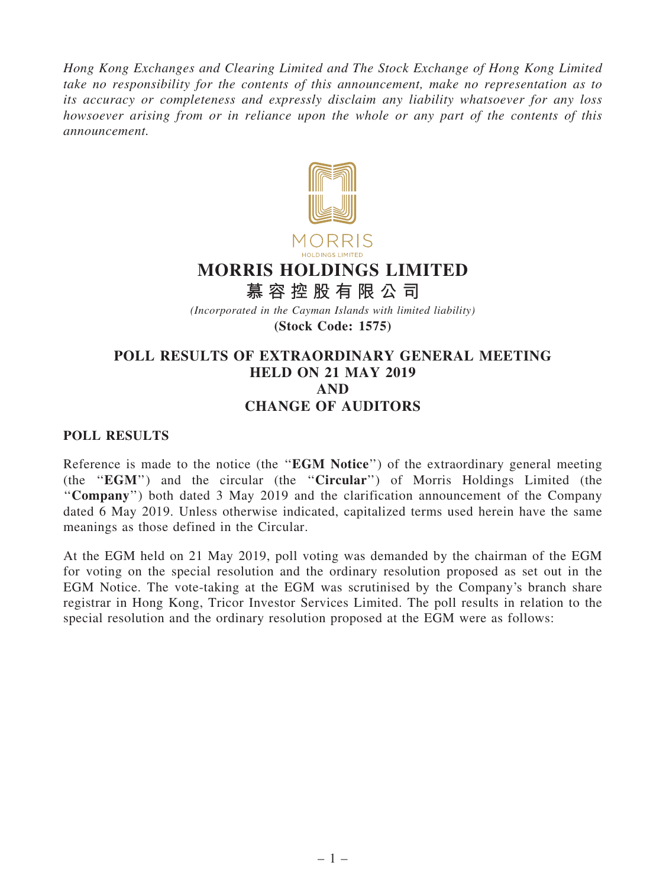Hong Kong Exchanges and Clearing Limited and The Stock Exchange of Hong Kong Limited take no responsibility for the contents of this announcement, make no representation as to its accuracy or completeness and expressly disclaim any liability whatsoever for any loss howsoever arising from or in reliance upon the whole or any part of the contents of this announcement.



## MORRIS HOLDINGS LIMITED

慕 容 控 股 有 限 公 司

(Incorporated in the Cayman Islands with limited liability)

(Stock Code: 1575)

## POLL RESULTS OF EXTRAORDINARY GENERAL MEETING HELD ON 21 MAY 2019 AND CHANGE OF AUDITORS

## POLL RESULTS

Reference is made to the notice (the "EGM Notice") of the extraordinary general meeting (the ''EGM'') and the circular (the ''Circular'') of Morris Holdings Limited (the ''Company'') both dated 3 May 2019 and the clarification announcement of the Company dated 6 May 2019. Unless otherwise indicated, capitalized terms used herein have the same meanings as those defined in the Circular.

At the EGM held on 21 May 2019, poll voting was demanded by the chairman of the EGM for voting on the special resolution and the ordinary resolution proposed as set out in the EGM Notice. The vote-taking at the EGM was scrutinised by the Company's branch share registrar in Hong Kong, Tricor Investor Services Limited. The poll results in relation to the special resolution and the ordinary resolution proposed at the EGM were as follows: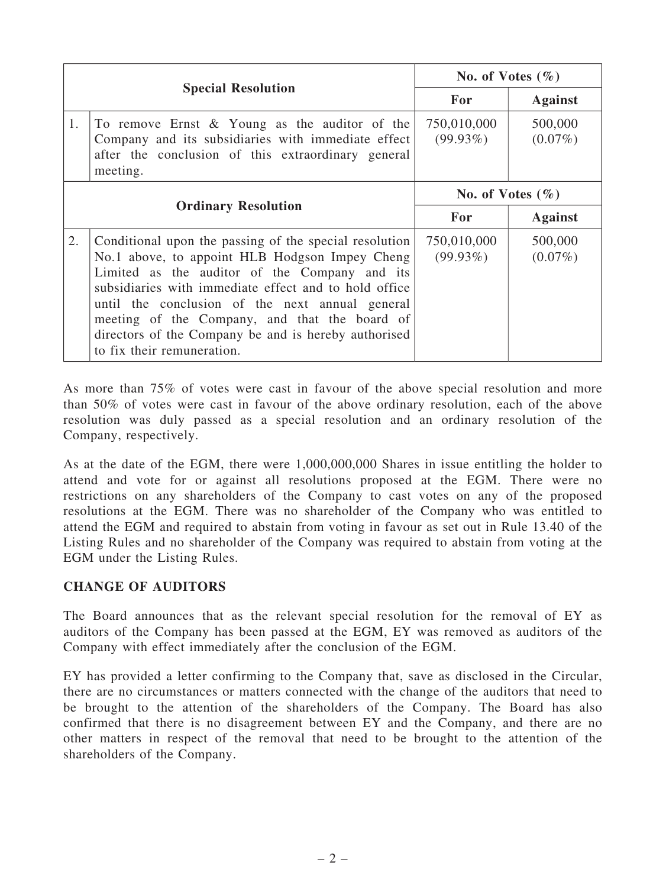| <b>Special Resolution</b>  |                                                                                                                                                                                                                                                                                                                                                                                                              | No. of Votes $(\% )$       |                       |
|----------------------------|--------------------------------------------------------------------------------------------------------------------------------------------------------------------------------------------------------------------------------------------------------------------------------------------------------------------------------------------------------------------------------------------------------------|----------------------------|-----------------------|
|                            |                                                                                                                                                                                                                                                                                                                                                                                                              | <b>For</b>                 | <b>Against</b>        |
| 1.                         | To remove Ernst $\&$ Young as the auditor of the<br>Company and its subsidiaries with immediate effect<br>after the conclusion of this extraordinary general<br>meeting.                                                                                                                                                                                                                                     | 750,010,000<br>$(99.93\%)$ | 500,000<br>$(0.07\%)$ |
|                            |                                                                                                                                                                                                                                                                                                                                                                                                              | No. of Votes $(\% )$       |                       |
| <b>Ordinary Resolution</b> |                                                                                                                                                                                                                                                                                                                                                                                                              | <b>For</b>                 | <b>Against</b>        |
| 2.                         | Conditional upon the passing of the special resolution<br>No.1 above, to appoint HLB Hodgson Impey Cheng<br>Limited as the auditor of the Company and its<br>subsidiaries with immediate effect and to hold office<br>until the conclusion of the next annual general<br>meeting of the Company, and that the board of<br>directors of the Company be and is hereby authorised<br>to fix their remuneration. | 750,010,000<br>$(99.93\%)$ | 500,000<br>$(0.07\%)$ |

As more than 75% of votes were cast in favour of the above special resolution and more than 50% of votes were cast in favour of the above ordinary resolution, each of the above resolution was duly passed as a special resolution and an ordinary resolution of the Company, respectively.

As at the date of the EGM, there were 1,000,000,000 Shares in issue entitling the holder to attend and vote for or against all resolutions proposed at the EGM. There were no restrictions on any shareholders of the Company to cast votes on any of the proposed resolutions at the EGM. There was no shareholder of the Company who was entitled to attend the EGM and required to abstain from voting in favour as set out in Rule 13.40 of the Listing Rules and no shareholder of the Company was required to abstain from voting at the EGM under the Listing Rules.

## CHANGE OF AUDITORS

The Board announces that as the relevant special resolution for the removal of EY as auditors of the Company has been passed at the EGM, EY was removed as auditors of the Company with effect immediately after the conclusion of the EGM.

EY has provided a letter confirming to the Company that, save as disclosed in the Circular, there are no circumstances or matters connected with the change of the auditors that need to be brought to the attention of the shareholders of the Company. The Board has also confirmed that there is no disagreement between EY and the Company, and there are no other matters in respect of the removal that need to be brought to the attention of the shareholders of the Company.